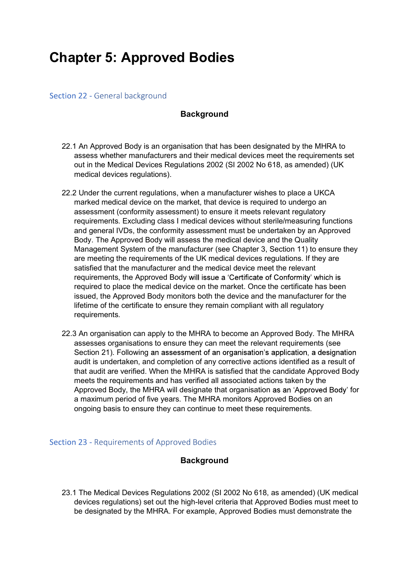# Chapter 5: Approved Bodies

#### Section 22 - General background

#### **Background**

- 22.1 An Approved Body is an organisation that has been designated by the MHRA to assess whether manufacturers and their medical devices meet the requirements set out in the Medical Devices Regulations 2002 (SI 2002 No 618, as amended) (UK medical devices regulations).
- 22.2 Under the current regulations, when a manufacturer wishes to place a UKCA marked medical device on the market, that device is required to undergo an assessment (conformity assessment) to ensure it meets relevant regulatory requirements. Excluding class I medical devices without sterile/measuring functions and general IVDs, the conformity assessment must be undertaken by an Approved Body. The Approved Body will assess the medical device and the Quality Management System of the manufacturer (see Chapter 3, Section 11) to ensure they are meeting the requirements of the UK medical devices regulations. If they are satisfied that the manufacturer and the medical device meet the relevant requirements, the Approved Body will issue a 'Certificate of Conformity' which is required to place the medical device on the market. Once the certificate has been issued, the Approved Body monitors both the device and the manufacturer for the lifetime of the certificate to ensure they remain compliant with all regulatory requirements.
- 22.3 An organisation can apply to the MHRA to become an Approved Body. The MHRA assesses organisations to ensure they can meet the relevant requirements (see Section 21). Following an assessment of an organisation's application, a designation audit is undertaken, and completion of any corrective actions identified as a result of that audit are verified. When the MHRA is satisfied that the candidate Approved Body meets the requirements and has verified all associated actions taken by the Approved Body, the MHRA will designate that organisation as an 'Approved Body' for a maximum period of five years. The MHRA monitors Approved Bodies on an ongoing basis to ensure they can continue to meet these requirements.

# Section 23 - Requirements of Approved Bodies

# **Background**

23.1 The Medical Devices Regulations 2002 (SI 2002 No 618, as amended) (UK medical devices regulations) set out the high-level criteria that Approved Bodies must meet to be designated by the MHRA. For example, Approved Bodies must demonstrate the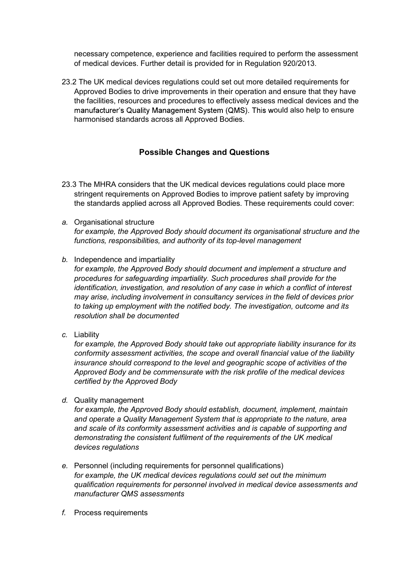of medical devices. Further detail is provided for in Regulation 920/2013.

necessary competence, experience and facilities required to perform the assessment<br>of medical devices. Further detail is provided for in Regulation 920/2013.<br>2 The UK medical devices regulations could set out more detailed 23.2 The UK medical devices regulations could set out more detailed requirements for Approved Bodies to drive improvements in their operation and ensure that they have the facilities, resources and procedures to effectively assess medical devices and the manufacturer's Quality Management System (QMS). This would also help to ensure harmonised standards across all Approved Bodies.

# Possible Changes and Questions

- 23.3 The MHRA considers that the UK medical devices regulations could place more stringent requirements on Approved Bodies to improve patient safety by improving the standards applied across all Approved Bodies. These requirements could cover:
- a. Organisational structure for example, the Approved Body should document its organisational structure and the functions, responsibilities, and authority of its top-level management
- b. Independence and impartiality

for example, the Approved Body should document and implement a structure and procedures for safeguarding impartiality. Such procedures shall provide for the identification, investigation, and resolution of any case in which a conflict of interest may arise, including involvement in consultancy services in the field of devices prior to taking up employment with the notified body. The investigation, outcome and its resolution shall be documented

c. Liability

for example, the Approved Body should take out appropriate liability insurance for its conformity assessment activities, the scope and overall financial value of the liability insurance should correspond to the level and geographic scope of activities of the Approved Body and be commensurate with the risk profile of the medical devices certified by the Approved Body

d. Quality management

for example, the Approved Body should establish, document, implement, maintain and operate a Quality Management System that is appropriate to the nature, area and scale of its conformity assessment activities and is capable of supporting and demonstrating the consistent fulfilment of the requirements of the UK medical devices regulations

- e. Personnel (including requirements for personnel qualifications) for example, the UK medical devices regulations could set out the minimum qualification requirements for personnel involved in medical device assessments and manufacturer QMS assessments
- f. Process requirements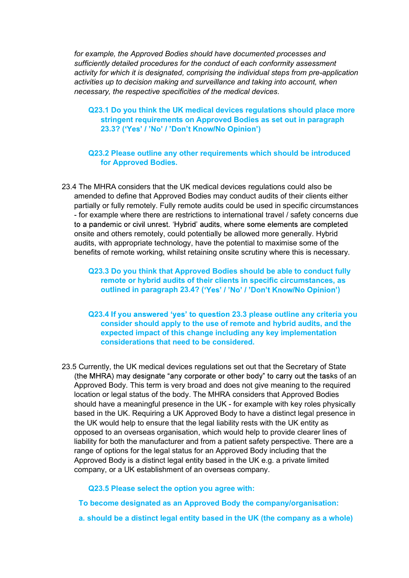for example, the Approved Bodies should have documented processes and sufficiently detailed procedures for the conduct of each conformity assessment activity for which it is designated, comprising the individual steps from pre-application activities up to decision making and surveillance and taking into account, when necessary, the respective specificities of the medical devices.

#### Q23.1 Do you think the UK medical devices regulations should place more stringent requirements on Approved Bodies as set out in paragraph 23.3? ('Yes' / 'No' / 'Don't Know/No Opinion')

#### Q23.2 Please outline any other requirements which should be introduced for Approved Bodies.

23.4 The MHRA considers that the UK medical devices regulations could also be amended to define that Approved Bodies may conduct audits of their clients either partially or fully remotely. Fully remote audits could be used in specific circumstances - for example where there are restrictions to international travel / safety concerns due to a pandemic or civil unrest. 'Hybrid' audits, where some elements are completed onsite and others remotely, could potentially be allowed more generally. Hybrid audits, with appropriate technology, have the potential to maximise some of the benefits of remote working, whilst retaining onsite scrutiny where this is necessary.

#### Q23.3 Do you think that Approved Bodies should be able to conduct fully remote or hybrid audits of their clients in specific circumstances, as outlined in paragraph 23.4? ('Yes' / 'No' / 'Don't Know/No Opinion')

- Q23.4 If you answered 'yes' to question 23.3 please outline any criteria you consider should apply to the use of remote and hybrid audits, and the expected impact of this change including any key implementation considerations that need to be considered.
- 23.5 Currently, the UK medical devices regulations set out that the Secretary of State (the MHRA) may designate "any corporate or other body" to carry out the tasks of an Approved Body. This term is very broad and does not give meaning to the required location or legal status of the body. The MHRA considers that Approved Bodies should have a meaningful presence in the UK - for example with key roles physically based in the UK. Requiring a UK Approved Body to have a distinct legal presence in the UK would help to ensure that the legal liability rests with the UK entity as opposed to an overseas organisation, which would help to provide clearer lines of liability for both the manufacturer and from a patient safety perspective. There are a range of options for the legal status for an Approved Body including that the Approved Body is a distinct legal entity based in the UK e.g. a private limited company, or a UK establishment of an overseas company.

Q23.5 Please select the option you agree with:

To become designated as an Approved Body the company/organisation:

a. should be a distinct legal entity based in the UK (the company as a whole)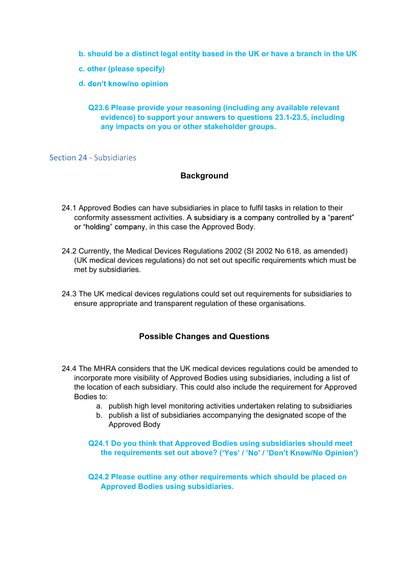- b. should be a distinct legal entity based in the UK or have a branch in the UK
- c. other (please specify)
- d. don't know/no opinion

#### Q23.6 Please provide your reasoning (including any available relevant evidence) to support your answers to questions 23.1-23.5, including any impacts on you or other stakeholder groups.

#### Section 24 - Subsidiaries

#### **Background**

- 24.1 Approved Bodies can have subsidiaries in place to fulfil tasks in relation to their conformity assessment activities. A subsidiary is a company controlled by a "parent" or "holding" company, in this case the Approved Body.
- 24.2 Currently, the Medical Devices Regulations 2002 (SI 2002 No 618, as amended) (UK medical devices regulations) do not set out specific requirements which must be met by subsidiaries.
- 24.3 The UK medical devices regulations could set out requirements for subsidiaries to ensure appropriate and transparent regulation of these organisations.

# Possible Changes and Questions

- 24.4 The MHRA considers that the UK medical devices regulations could be amended to incorporate more visibility of Approved Bodies using subsidiaries, including a list of the location of each subsidiary. This could also include the requirement for Approved Bodies to:
	- a. publish high level monitoring activities undertaken relating to subsidiaries
	- b. publish a list of subsidiaries accompanying the designated scope of the Approved Body

Q24.1 Do you think that Approved Bodies using subsidiaries should meet the requirements set out above? ('Yes' / 'No' / 'Don't Know/No Opinion')

Q24.2 Please outline any other requirements which should be placed on Approved Bodies using subsidiaries.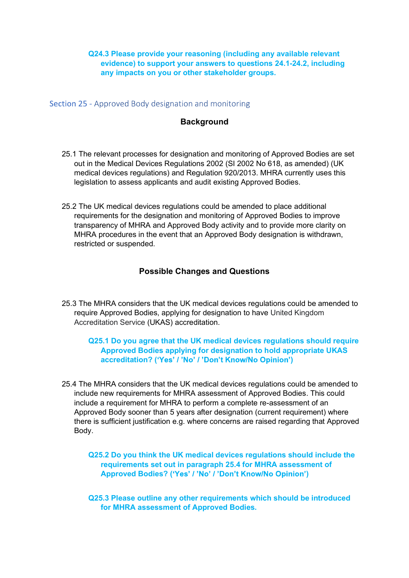# Q24.3 Please provide your reasoning (including any available relevant<br>evidence) to support your answers to questions 24.1-24.2, including<br>any impacts on you or other stakeholder groups. evidence) to support your answers to questions 24.1-24.2, including any impacts on you or other stakeholder groups.

Section 25 - Approved Body designation and monitoring

# **Background**

- 25.1 The relevant processes for designation and monitoring of Approved Bodies are set out in the Medical Devices Regulations 2002 (SI 2002 No 618, as amended) (UK medical devices regulations) and Regulation 920/2013. MHRA currently uses this legislation to assess applicants and audit existing Approved Bodies.
- 25.2 The UK medical devices regulations could be amended to place additional requirements for the designation and monitoring of Approved Bodies to improve transparency of MHRA and Approved Body activity and to provide more clarity on MHRA procedures in the event that an Approved Body designation is withdrawn, restricted or suspended.

# Possible Changes and Questions

25.3 The MHRA considers that the UK medical devices regulations could be amended to require Approved Bodies, applying for designation to have United Kingdom Accreditation Service (UKAS) accreditation.

#### Q25.1 Do you agree that the UK medical devices regulations should require Approved Bodies applying for designation to hold appropriate UKAS accreditation? ('Yes' / 'No' / 'Don't Know/No Opinion')

25.4 The MHRA considers that the UK medical devices regulations could be amended to include new requirements for MHRA assessment of Approved Bodies. This could include a requirement for MHRA to perform a complete re-assessment of an Approved Body sooner than 5 years after designation (current requirement) where there is sufficient justification e.g. where concerns are raised regarding that Approved Body.

Q25.2 Do you think the UK medical devices regulations should include the requirements set out in paragraph 25.4 for MHRA assessment of Approved Bodies? ('Yes' / 'No' / 'Don't Know/No Opinion')

Q25.3 Please outline any other requirements which should be introduced for MHRA assessment of Approved Bodies.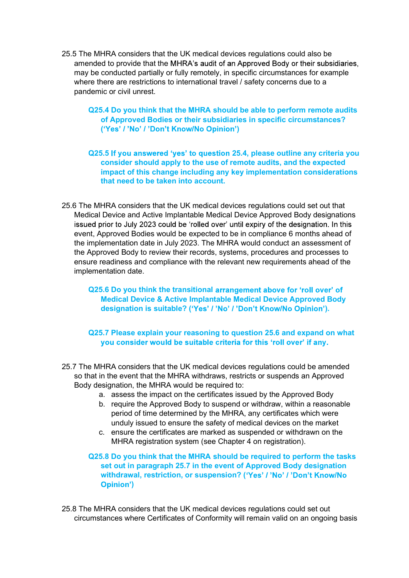- 25.5 The MHRA considers that the UK medical devices regulations could also be<br>amended to provide that the MHRA's audit of an Approved Body or their subsidiaries,<br>may be conducted partially or fully remotely, in specific ci amended to provide that the MHRA's audit of an Approved Body or their subsidiaries, may be conducted partially or fully remotely, in specific circumstances for example where there are restrictions to international travel / safety concerns due to a pandemic or civil unrest.
	- Q25.4 Do you think that the MHRA should be able to perform remote audits of Approved Bodies or their subsidiaries in specific circumstances? ('Yes' / 'No' / 'Don't Know/No Opinion')
	- Q25.5 If you answered 'yes' to question 25.4, please outline any criteria you consider should apply to the use of remote audits, and the expected impact of this change including any key implementation considerations that need to be taken into account.
- 25.6 The MHRA considers that the UK medical devices regulations could set out that Medical Device and Active Implantable Medical Device Approved Body designations issued prior to July 2023 could be 'rolled over' until expiry of the designation. In this event, Approved Bodies would be expected to be in compliance 6 months ahead of the implementation date in July 2023. The MHRA would conduct an assessment of the Approved Body to review their records, systems, procedures and processes to ensure readiness and compliance with the relevant new requirements ahead of the implementation date.

Q25.6 Do you think the transitional arrangement above for 'roll over' of Medical Device & Active Implantable Medical Device Approved Body designation is suitable? ('Yes' / 'No' / 'Don't Know/No Opinion').

Q25.7 Please explain your reasoning to question 25.6 and expand on what you consider would be suitable criteria for this 'roll over' if any.

- 25.7 The MHRA considers that the UK medical devices regulations could be amended so that in the event that the MHRA withdraws, restricts or suspends an Approved Body designation, the MHRA would be required to:
	- a. assess the impact on the certificates issued by the Approved Body
	- b. require the Approved Body to suspend or withdraw, within a reasonable period of time determined by the MHRA, any certificates which were unduly issued to ensure the safety of medical devices on the market
	- c. ensure the certificates are marked as suspended or withdrawn on the MHRA registration system (see Chapter 4 on registration).

#### Q25.8 Do you think that the MHRA should be required to perform the tasks set out in paragraph 25.7 in the event of Approved Body designation withdrawal, restriction, or suspension? ('Yes' / 'No' / 'Don't Know/No )

25.8 The MHRA considers that the UK medical devices regulations could set out circumstances where Certificates of Conformity will remain valid on an ongoing basis